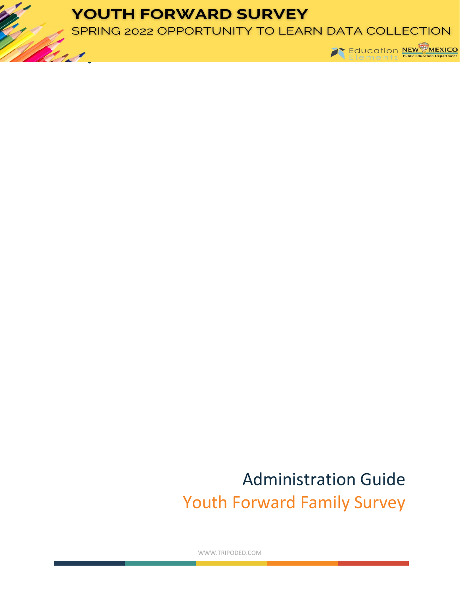## **YOUTH FORWARD SURVEY**

SPRING 2022 OPPORTUNITY TO LEARN DATA COLLECTION



## Administration Guide Youth Forward Family Survey

WWW.TRIPODED.COM